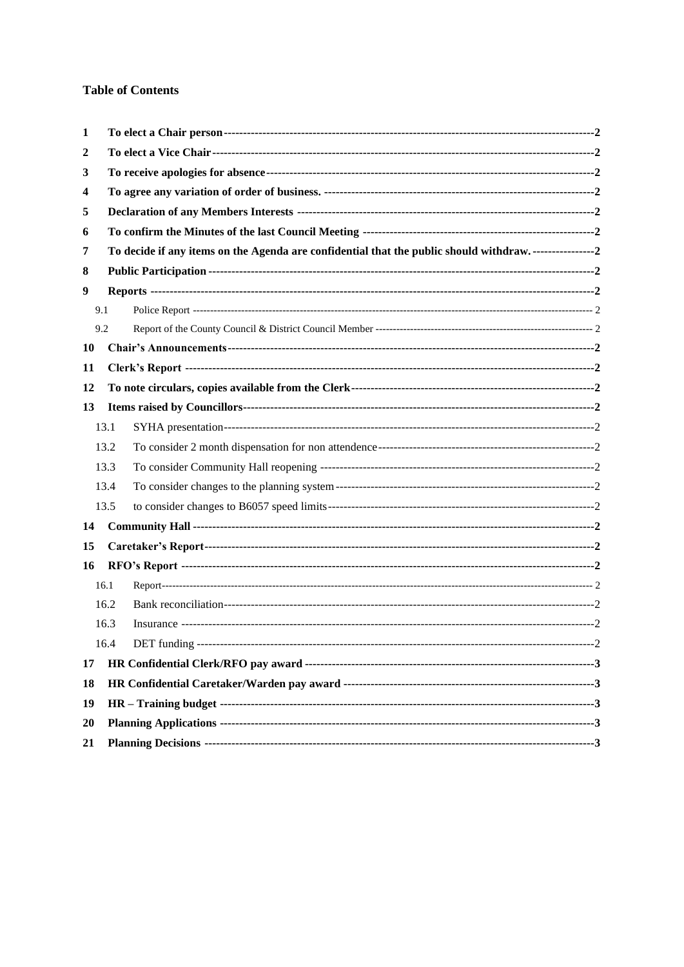## **Table of Contents**

| 1   |      |                                                                                                                |  |  |  |  |
|-----|------|----------------------------------------------------------------------------------------------------------------|--|--|--|--|
| 2   |      |                                                                                                                |  |  |  |  |
| 3   |      |                                                                                                                |  |  |  |  |
| 4   |      |                                                                                                                |  |  |  |  |
| 5   |      |                                                                                                                |  |  |  |  |
| 6   |      |                                                                                                                |  |  |  |  |
| 7   |      | To decide if any items on the Agenda are confidential that the public should withdraw. ----------------------2 |  |  |  |  |
| 8   |      |                                                                                                                |  |  |  |  |
| 9   |      |                                                                                                                |  |  |  |  |
| 9.1 |      |                                                                                                                |  |  |  |  |
| 9.2 |      |                                                                                                                |  |  |  |  |
| 10  |      |                                                                                                                |  |  |  |  |
| 11  |      |                                                                                                                |  |  |  |  |
| 12  |      |                                                                                                                |  |  |  |  |
| 13  |      |                                                                                                                |  |  |  |  |
|     | 13.1 |                                                                                                                |  |  |  |  |
|     | 13.2 |                                                                                                                |  |  |  |  |
|     | 13.3 |                                                                                                                |  |  |  |  |
|     | 13.4 |                                                                                                                |  |  |  |  |
|     | 13.5 |                                                                                                                |  |  |  |  |
| 14  |      |                                                                                                                |  |  |  |  |
| 15  |      |                                                                                                                |  |  |  |  |
| 16  |      |                                                                                                                |  |  |  |  |
|     | 16.1 |                                                                                                                |  |  |  |  |
|     | 16.2 |                                                                                                                |  |  |  |  |
|     | 16.3 |                                                                                                                |  |  |  |  |
|     | 16.4 |                                                                                                                |  |  |  |  |
| 17  |      |                                                                                                                |  |  |  |  |
| 18  |      |                                                                                                                |  |  |  |  |
| 19  |      |                                                                                                                |  |  |  |  |
| 20  |      |                                                                                                                |  |  |  |  |
| 21  |      |                                                                                                                |  |  |  |  |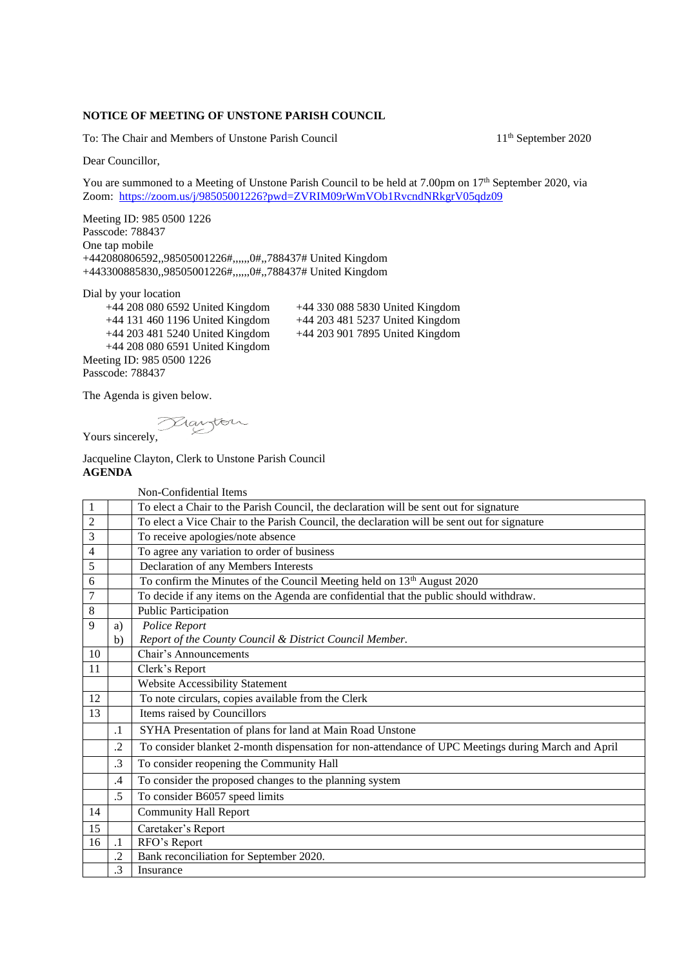## **NOTICE OF MEETING OF UNSTONE PARISH COUNCIL**

To: The Chair and Members of Unstone Parish Council 11<sup>th</sup> September 2020

Dear Councillor,

You are summoned to a Meeting of Unstone Parish Council to be held at 7.00pm on 17<sup>th</sup> September 2020, via Zoom:<https://zoom.us/j/98505001226?pwd=ZVRIM09rWmVOb1RvcndNRkgrV05qdz09>

Meeting ID: 985 0500 1226 Passcode: 788437 One tap mobile +442080806592,,98505001226#,,,,,,0#,,788437# United Kingdom +443300885830,,98505001226#,,,,,,0#,,788437# United Kingdom

Dial by your location

 +44 131 460 1196 United Kingdom +44 203 481 5237 United Kingdom +44 203 481 5240 United Kingdom +44 208 080 6591 United Kingdom Meeting ID: 985 0500 1226 Passcode: 788437

+44 208 080 6592 United Kingdom +44 330 088 5830 United Kingdom

The Agenda is given below.

Yours sincerely,

Jacqueline Clayton, Clerk to Unstone Parish Council **AGENDA**

Non-Confidential Items

| $\mathbf{1}$   |                | To elect a Chair to the Parish Council, the declaration will be sent out for signature             |
|----------------|----------------|----------------------------------------------------------------------------------------------------|
|                |                |                                                                                                    |
| $\overline{2}$ |                | To elect a Vice Chair to the Parish Council, the declaration will be sent out for signature        |
| 3              |                | To receive apologies/note absence                                                                  |
| 4              |                | To agree any variation to order of business                                                        |
| 5              |                | Declaration of any Members Interests                                                               |
| 6              |                | To confirm the Minutes of the Council Meeting held on 13 <sup>th</sup> August 2020                 |
| 7              |                | To decide if any items on the Agenda are confidential that the public should withdraw.             |
| 8              |                | Public Participation                                                                               |
| 9              | a)             | Police Report                                                                                      |
|                | b)             | Report of the County Council & District Council Member.                                            |
| 10             |                | Chair's Announcements                                                                              |
| 11             |                | Clerk's Report                                                                                     |
|                |                | Website Accessibility Statement                                                                    |
| 12             |                | To note circulars, copies available from the Clerk                                                 |
| 13             |                | Items raised by Councillors                                                                        |
|                | $\cdot$        | SYHA Presentation of plans for land at Main Road Unstone                                           |
|                | $\cdot$        | To consider blanket 2-month dispensation for non-attendance of UPC Meetings during March and April |
|                | .3             | To consider reopening the Community Hall                                                           |
|                | .4             | To consider the proposed changes to the planning system                                            |
|                | .5             | To consider B6057 speed limits                                                                     |
| 14             |                | <b>Community Hall Report</b>                                                                       |
| 15             |                | Caretaker's Report                                                                                 |
| 16             | $\cdot$ 1      | RFO's Report                                                                                       |
|                | $\overline{2}$ | Bank reconciliation for September 2020.                                                            |
|                | .3             | Insurance                                                                                          |